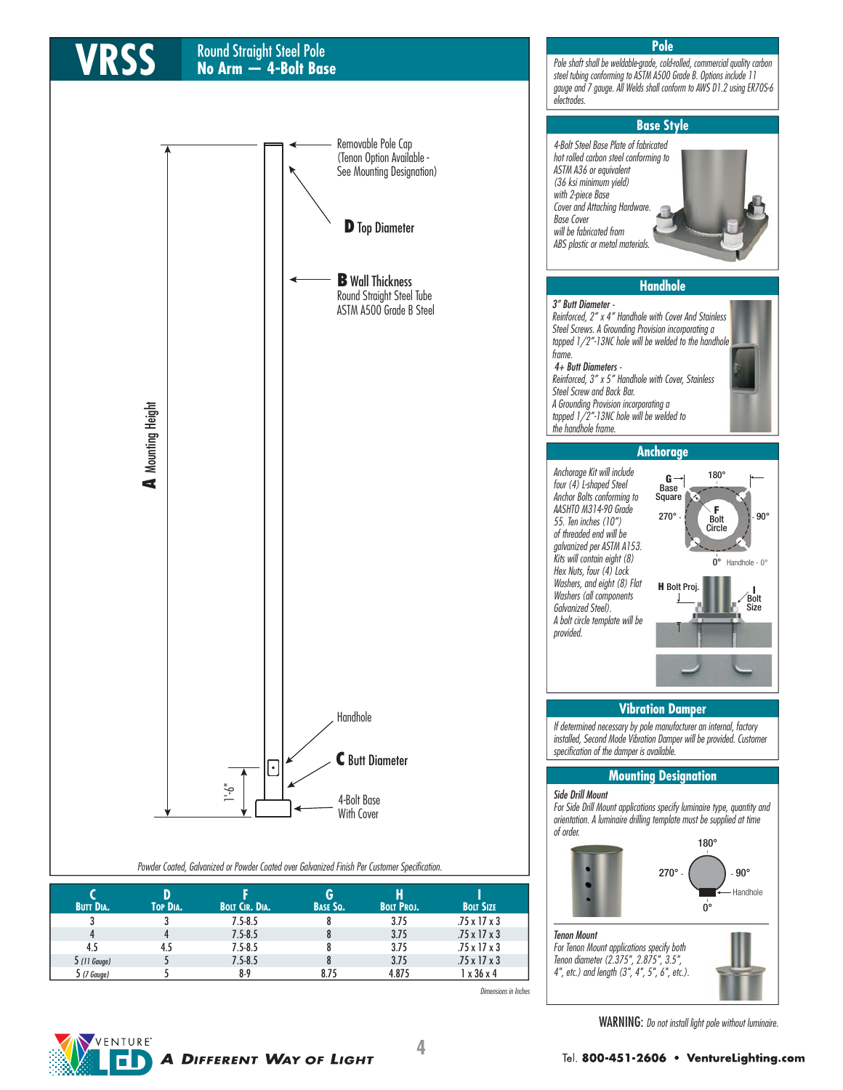# Round Straight Steel Pole **VRSS No Arm — 4-Bolt Base**



steel tubing conforming to ASTM A500 Grade B. Options include 11



#### Powder Coated, Galvanized or Powder Coated over Galvanized Finish Per Customer Specification.

|                  |          |                       | G               |                   |                          |  |
|------------------|----------|-----------------------|-----------------|-------------------|--------------------------|--|
| <b>BUTT DIA.</b> | TOP DIA. | <b>BOLT CIR. DIA.</b> | <b>BASE SQ.</b> | <b>BOLT PROJ.</b> | <b>BOLT SIZE</b>         |  |
|                  |          | $7.5 - 8.5$           |                 | 3.75              | $.75 \times 17 \times 3$ |  |
|                  |          | $7.5 - 8.5$           |                 | 3.75              | $.75 \times 17 \times 3$ |  |
| 4.5              | 4.5      | $7.5 - 8.5$           |                 | 3.75              | $.75 \times 17 \times 3$ |  |
| $5(11)$ Gauge)   |          | $7.5 - 8.5$           |                 | 3.75              | $.75 \times 17 \times 3$ |  |
| 5 (7 Gauge)      |          | $8-9$                 | 8.75            | 4.875             | 1 x 36 x 4               |  |

Dimensions in Inches

Tenon Mount

For Tenon Mount applications specify both Tenon diameter (2.375", 2.875", 3.5", 4", etc.) and length (3", 4", 5", 6", etc.).



WARNING: Do not install light pole without luminaire.

- Handhole

 $0^{\circ}$  Handhole - 0°

Bolt Size

180°

G Base Square

**H** Bolt Proj

 $270^\circ$   $\left\{\right.$   $\left\{\right.$   $\right\}$   $\left\{\right.$   $\left\{\right.$   $\right\}$   $\left. \right\}$   $\left. 90^\circ$ 

F Bolt Circle

180° |

 $270^{\circ}$   $\cdot$   $\cdot$   $\cdot$  90°

 $\overline{0}^{\circ}$